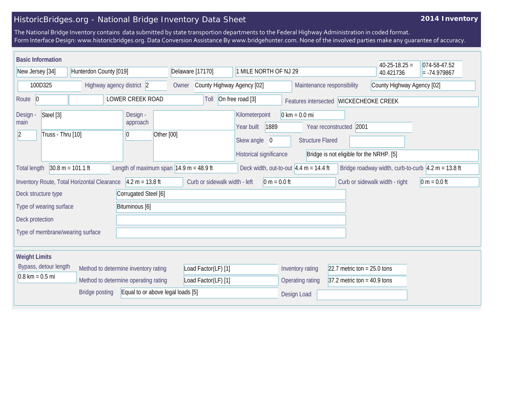## HistoricBridges.org - National Bridge Inventory Data Sheet

## **2014 Inventory**

The National Bridge Inventory contains data submitted by state transportion departments to the Federal Highway Administration in coded format. Form Interface Design: www.historicbridges.org. Data Conversion Assistance By www.bridgehunter.com. None of the involved parties make any guarantee of accuracy.

| <b>Basic Information</b>                                                                                                |                                      |                                                                                               |                     |                                                                      |                                                                                                                                   |                                                   |                                                   |                | $40-25-18.25 =$                                                     | 074-58-47.52               |  |
|-------------------------------------------------------------------------------------------------------------------------|--------------------------------------|-----------------------------------------------------------------------------------------------|---------------------|----------------------------------------------------------------------|-----------------------------------------------------------------------------------------------------------------------------------|---------------------------------------------------|---------------------------------------------------|----------------|---------------------------------------------------------------------|----------------------------|--|
| Hunterdon County [019]<br>New Jersey [34]                                                                               |                                      | Delaware [17170]<br>1 MILE NORTH OF NJ 29                                                     |                     |                                                                      |                                                                                                                                   |                                                   | 40.421736                                         | $= -74.979867$ |                                                                     |                            |  |
| 100D325<br>Highway agency district 2                                                                                    |                                      |                                                                                               | Owner               | County Highway Agency [02]                                           |                                                                                                                                   |                                                   | Maintenance responsibility                        |                |                                                                     | County Highway Agency [02] |  |
| LOWER CREEK ROAD<br>Route 0                                                                                             |                                      |                                                                                               |                     | On free road [3]<br>Toll<br>Features intersected   WICKECHEOKE CREEK |                                                                                                                                   |                                                   |                                                   |                |                                                                     |                            |  |
| Steel [3]<br>Design -<br>Design -<br>approach<br>main<br>Truss - Thru [10]<br>Other [00]<br>$\vert$ 2<br>$\overline{0}$ |                                      | Kilometerpoint<br>1889<br>Year built<br>Skew angle<br>$\mathbf{0}$<br>Historical significance |                     |                                                                      | $0 \text{ km} = 0.0 \text{ mi}$<br>Year reconstructed 2001<br><b>Structure Flared</b><br>Bridge is not eligible for the NRHP. [5] |                                                   |                                                   |                |                                                                     |                            |  |
| $30.8 m = 101.1 ft$<br><b>Total length</b>                                                                              |                                      | Length of maximum span $ 14.9 \text{ m} = 48.9 \text{ ft} $                                   |                     |                                                                      |                                                                                                                                   |                                                   | Deck width, out-to-out $4.4 m = 14.4 ft$          |                | Bridge roadway width, curb-to-curb $\sqrt{4.2 m} = 13.8 \text{ ft}$ |                            |  |
| Inventory Route, Total Horizontal Clearance                                                                             |                                      | $4.2 m = 13.8 ft$                                                                             |                     | Curb or sidewalk width - left                                        |                                                                                                                                   | $0 m = 0.0 ft$                                    |                                                   |                | Curb or sidewalk width - right                                      | $0 m = 0.0 ft$             |  |
| Deck structure type                                                                                                     |                                      | Corrugated Steel [6]                                                                          |                     |                                                                      |                                                                                                                                   |                                                   |                                                   |                |                                                                     |                            |  |
| Type of wearing surface                                                                                                 |                                      | Bituminous [6]                                                                                |                     |                                                                      |                                                                                                                                   |                                                   |                                                   |                |                                                                     |                            |  |
| Deck protection                                                                                                         |                                      |                                                                                               |                     |                                                                      |                                                                                                                                   |                                                   |                                                   |                |                                                                     |                            |  |
| Type of membrane/wearing surface                                                                                        |                                      |                                                                                               |                     |                                                                      |                                                                                                                                   |                                                   |                                                   |                |                                                                     |                            |  |
| <b>Weight Limits</b>                                                                                                    |                                      |                                                                                               |                     |                                                                      |                                                                                                                                   |                                                   |                                                   |                |                                                                     |                            |  |
| Bypass, detour length                                                                                                   | Method to determine inventory rating |                                                                                               | Load Factor(LF) [1] |                                                                      |                                                                                                                                   | Inventory rating<br>22.7 metric ton = $25.0$ tons |                                                   |                |                                                                     |                            |  |
| $0.8 \text{ km} = 0.5 \text{ mi}$                                                                                       | Method to determine operating rating |                                                                                               |                     | Load Factor(LF) [1]                                                  |                                                                                                                                   |                                                   | Operating rating<br>$37.2$ metric ton = 40.9 tons |                |                                                                     |                            |  |
| <b>Bridge posting</b><br>Equal to or above legal loads [5]                                                              |                                      |                                                                                               |                     |                                                                      |                                                                                                                                   |                                                   | Design Load                                       |                |                                                                     |                            |  |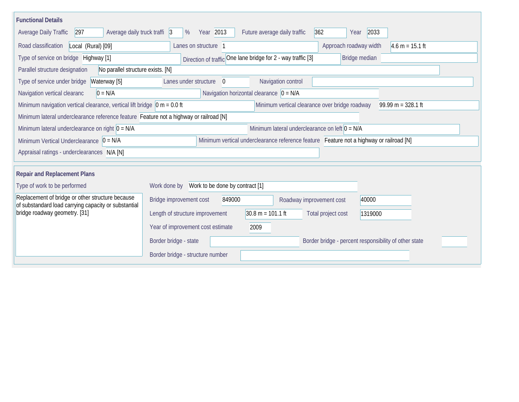| <b>Functional Details</b>                                                                                                                             |                                                                                         |                |                              |                                                  |                    |                        |                   |  |
|-------------------------------------------------------------------------------------------------------------------------------------------------------|-----------------------------------------------------------------------------------------|----------------|------------------------------|--------------------------------------------------|--------------------|------------------------|-------------------|--|
| 297<br>Average daily truck traffi 3<br>Average Daily Traffic                                                                                          | Year 2013<br>%                                                                          |                | Future average daily traffic |                                                  | 362                | 2033<br>Year           |                   |  |
| Road classification<br>Local (Rural) [09]                                                                                                             | Lanes on structure 1                                                                    |                |                              |                                                  |                    | Approach roadway width | $4.6 m = 15.1 ft$ |  |
| Type of service on bridge Highway [1]                                                                                                                 | Direction of traffic One lane bridge for 2 - way traffic [3]                            |                |                              |                                                  |                    | Bridge median          |                   |  |
| No parallel structure exists. [N]<br>Parallel structure designation                                                                                   |                                                                                         |                |                              |                                                  |                    |                        |                   |  |
| Type of service under bridge<br>Waterway [5]                                                                                                          | Lanes under structure                                                                   | $\overline{0}$ |                              | Navigation control                               |                    |                        |                   |  |
| Navigation horizontal clearance $ 0 = N/A $<br>Navigation vertical clearanc<br>$0 = N/A$                                                              |                                                                                         |                |                              |                                                  |                    |                        |                   |  |
| Minimum navigation vertical clearance, vertical lift bridge $ 0 m = 0.0$ ft<br>Minimum vertical clearance over bridge roadway<br>$99.99 m = 328.1 ft$ |                                                                                         |                |                              |                                                  |                    |                        |                   |  |
| Minimum lateral underclearance reference feature Feature not a highway or railroad [N]                                                                |                                                                                         |                |                              |                                                  |                    |                        |                   |  |
| Minimum lateral underclearance on right $0 = N/A$                                                                                                     |                                                                                         |                |                              | Minimum lateral underclearance on left $0 = N/A$ |                    |                        |                   |  |
| Minimum Vertical Underclearance $ 0 = N/A$                                                                                                            | Minimum vertical underclearance reference feature Feature not a highway or railroad [N] |                |                              |                                                  |                    |                        |                   |  |
| Appraisal ratings - underclearances N/A [N]                                                                                                           |                                                                                         |                |                              |                                                  |                    |                        |                   |  |
|                                                                                                                                                       |                                                                                         |                |                              |                                                  |                    |                        |                   |  |
| <b>Repair and Replacement Plans</b>                                                                                                                   |                                                                                         |                |                              |                                                  |                    |                        |                   |  |
| Type of work to be performed                                                                                                                          | Work done by Work to be done by contract [1]                                            |                |                              |                                                  |                    |                        |                   |  |
| Replacement of bridge or other structure because<br>of substandard load carrying capacity or substantial                                              | Bridge improvement cost                                                                 | 849000         |                              | Roadway improvement cost                         |                    | 40000                  |                   |  |
| bridge roadway geometry. [31]                                                                                                                         | Length of structure improvement                                                         |                | $30.8 m = 101.1 ft$          |                                                  | Total project cost | 1319000                |                   |  |
|                                                                                                                                                       | Year of improvement cost estimate<br>2009                                               |                |                              |                                                  |                    |                        |                   |  |
|                                                                                                                                                       | Border bridge - state<br>Border bridge - percent responsibility of other state          |                |                              |                                                  |                    |                        |                   |  |
|                                                                                                                                                       | Border bridge - structure number                                                        |                |                              |                                                  |                    |                        |                   |  |